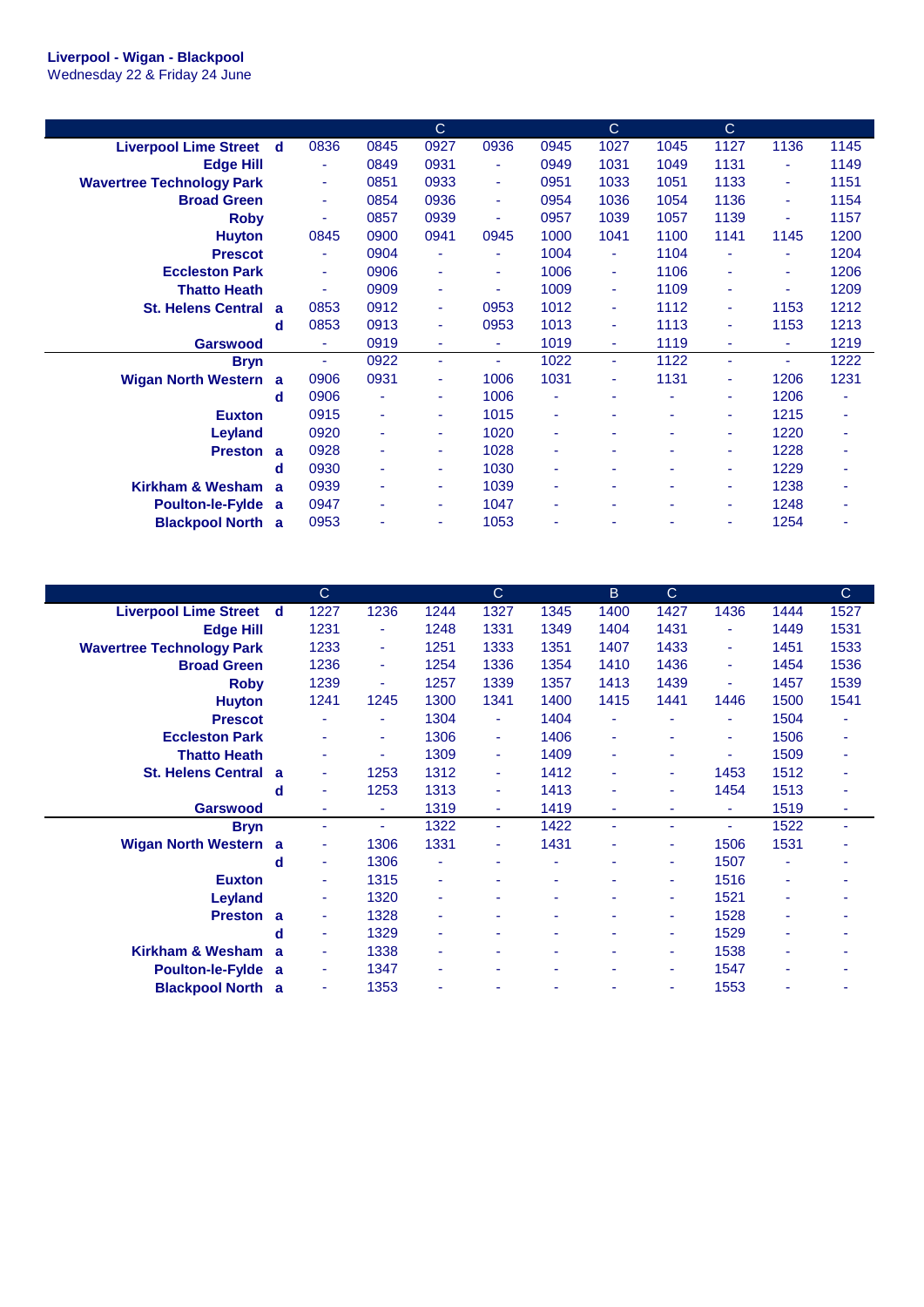|                                  |   |                          |                | $\mathsf{C}$ |        |      | $\mathbf C$              |      | $\mathsf{C}$ |      |      |
|----------------------------------|---|--------------------------|----------------|--------------|--------|------|--------------------------|------|--------------|------|------|
| <b>Liverpool Lime Street</b>     | d | 0836                     | 0845           | 0927         | 0936   | 0945 | 1027                     | 1045 | 1127         | 1136 | 1145 |
| <b>Edge Hill</b>                 |   | $\blacksquare$           | 0849           | 0931         | ٠      | 0949 | 1031                     | 1049 | 1131         | ٠    | 1149 |
| <b>Wavertree Technology Park</b> |   | ÷                        | 0851           | 0933         | ٠      | 0951 | 1033                     | 1051 | 1133         | ٠    | 1151 |
| <b>Broad Green</b>               |   | $\blacksquare$           | 0854           | 0936         | ٠      | 0954 | 1036                     | 1054 | 1136         | ٠    | 1154 |
| <b>Roby</b>                      |   |                          | 0857           | 0939         | ٠      | 0957 | 1039                     | 1057 | 1139         | ٠    | 1157 |
| <b>Huyton</b>                    |   | 0845                     | 0900           | 0941         | 0945   | 1000 | 1041                     | 1100 | 1141         | 1145 | 1200 |
| <b>Prescot</b>                   |   | $\blacksquare$           | 0904           |              | ٠      | 1004 | Ξ                        | 1104 |              | ٠    | 1204 |
| <b>Eccleston Park</b>            |   | $\overline{\phantom{a}}$ | 0906           | ٠            | ٠      | 1006 | ÷                        | 1106 | ٠            | ٠    | 1206 |
| <b>Thatto Heath</b>              |   | ÷                        | 0909           | ٠            | ٠      | 1009 | ÷                        | 1109 | ٠            | ٠    | 1209 |
| <b>St. Helens Central</b>        | a | 0853                     | 0912           |              | 0953   | 1012 | $\overline{\phantom{a}}$ | 1112 |              | 1153 | 1212 |
|                                  | d | 0853                     | 0913           |              | 0953   | 1013 | $\overline{\phantom{a}}$ | 1113 |              | 1153 | 1213 |
| <b>Garswood</b>                  |   | ä,                       | 0919           | ٠            | ٠      | 1019 | ٠                        | 1119 |              | ٠    | 1219 |
| <b>Bryn</b>                      |   | ٠                        | 0922           | ÷            | $\sim$ | 1022 | $\blacksquare$           | 1122 | ÷            | ٠    | 1222 |
| <b>Wigan North Western</b>       | a | 0906                     | 0931           |              | 1006   | 1031 | $\overline{\phantom{a}}$ | 1131 | ٠            | 1206 | 1231 |
|                                  | d | 0906                     | $\blacksquare$ |              | 1006   | ä,   | ÷                        |      | ÷            | 1206 | ٠    |
| <b>Euxton</b>                    |   | 0915                     | ٠              |              | 1015   | ٠    | ٠                        |      | ٠            | 1215 | ٠    |
| <b>Leyland</b>                   |   | 0920                     | ٠              |              | 1020   | ٠    | ٠                        |      | ٠            | 1220 | ٠    |
| <b>Preston</b>                   | a | 0928                     | ٠              | ٠            | 1028   | ٠    |                          |      | ٠            | 1228 | ٠    |
|                                  | d | 0930                     | ٠              | ٠            | 1030   | ٠    | ۰                        | ٠    | ٠            | 1229 | ٠    |
| Kirkham & Wesham                 | a | 0939                     | $\blacksquare$ |              | 1039   | ٠    | ٠                        |      | ٠            | 1238 | ۰    |
| <b>Poulton-le-Fylde</b>          | a | 0947                     | ٠              | ٠            | 1047   | ٠    | ٠                        | ٠    | ٠            | 1248 | ٠    |
| <b>Blackpool North</b>           | a | 0953                     |                |              | 1053   | ٠    |                          |      |              | 1254 |      |

|                                  |   | $\mathbf C$              |                |      | $\mathsf{C}$ |      | B    | C.   |      |      | $\mathsf{C}$ |
|----------------------------------|---|--------------------------|----------------|------|--------------|------|------|------|------|------|--------------|
|                                  |   |                          |                |      |              |      |      |      |      |      |              |
| <b>Liverpool Lime Street</b>     | d | 1227                     | 1236           | 1244 | 1327         | 1345 | 1400 | 1427 | 1436 | 1444 | 1527         |
| <b>Edge Hill</b>                 |   | 1231                     | ÷              | 1248 | 1331         | 1349 | 1404 | 1431 | ÷    | 1449 | 1531         |
| <b>Wavertree Technology Park</b> |   | 1233                     | ٠              | 1251 | 1333         | 1351 | 1407 | 1433 | ٠    | 1451 | 1533         |
| <b>Broad Green</b>               |   | 1236                     | ٠              | 1254 | 1336         | 1354 | 1410 | 1436 | ٠    | 1454 | 1536         |
| <b>Roby</b>                      |   | 1239                     | ٠              | 1257 | 1339         | 1357 | 1413 | 1439 |      | 1457 | 1539         |
| <b>Huyton</b>                    |   | 1241                     | 1245           | 1300 | 1341         | 1400 | 1415 | 1441 | 1446 | 1500 | 1541         |
| <b>Prescot</b>                   |   |                          | $\blacksquare$ | 1304 | ٠            | 1404 |      | ٠    |      | 1504 |              |
| <b>Eccleston Park</b>            |   |                          | ٠              | 1306 | ٠            | 1406 | ٠    | ٠    | ۰    | 1506 |              |
| <b>Thatto Heath</b>              |   |                          | ٠              | 1309 | ٠            | 1409 | ٠    | ۰    |      | 1509 |              |
| <b>St. Helens Central</b>        | a | ٠                        | 1253           | 1312 | ٠            | 1412 | ۰    | ٠    | 1453 | 1512 |              |
|                                  | d | ٠                        | 1253           | 1313 | ٠            | 1413 |      | ٠    | 1454 | 1513 | ۰            |
| <b>Garswood</b>                  |   |                          | ٠              | 1319 | ٠            | 1419 | ٠    | ٠    | ٠    | 1519 | ٠            |
| <b>Bryn</b>                      |   | $\overline{\phantom{a}}$ | $\blacksquare$ | 1322 | ٠            | 1422 | ٠    | ٠    |      | 1522 |              |
| <b>Wigan North Western</b>       | a | ٠                        | 1306           | 1331 | ٠            | 1431 |      | ٠    | 1506 | 1531 |              |
|                                  | d | ٠                        | 1306           |      | ٠            | ۰    |      | ٠    | 1507 |      |              |
| <b>Euxton</b>                    |   | ٠                        | 1315           | ۰    | ۰            | ۰    | ۰    | ٠    | 1516 | ۰    | ۰            |
| <b>Leyland</b>                   |   | ٠                        | 1320           | ۰    | ٠            | ۰    |      | ٠    | 1521 | ۰    |              |
| <b>Preston</b>                   | a | ٠                        | 1328           |      | ۰            |      |      | ٠    | 1528 | ۰    |              |
|                                  | d | ٠                        | 1329           |      | ۰            | ٠    |      | ٠    | 1529 |      |              |
| Kirkham & Wesham                 | a | ٠                        | 1338           |      | ۰            |      |      | ٠    | 1538 |      |              |
| <b>Poulton-le-Fylde</b>          | a | ٠                        | 1347           | ۰    | ۰            | ٠    | ٠    | ٠    | 1547 | ۰    |              |
| <b>Blackpool North</b>           | a | ä,                       | 1353           |      | ۰            | ٠    |      | ٠    | 1553 |      | ٠            |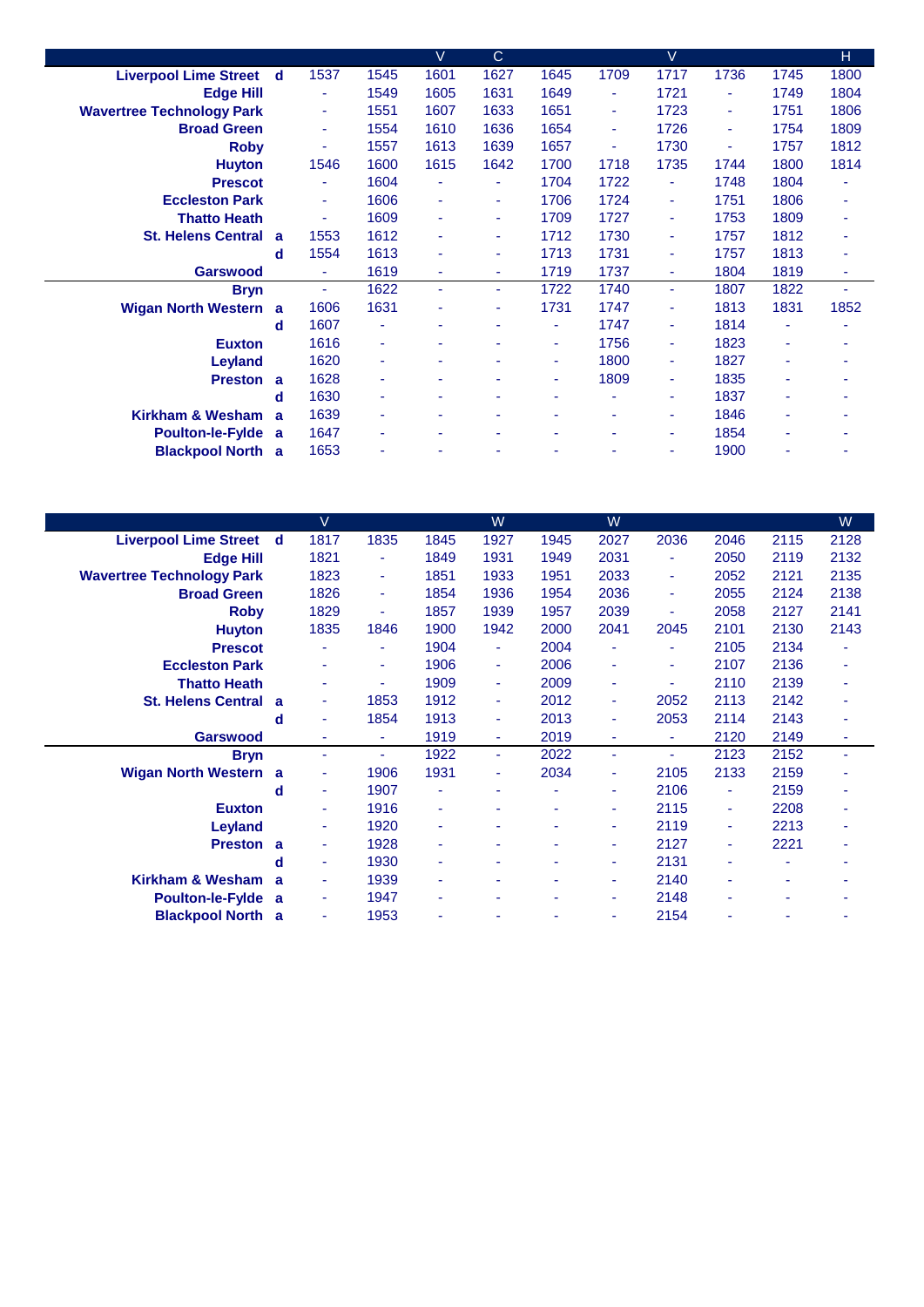|                                  |   |      |                          | $\vee$                   | $\mathsf{C}$ |      |      | $\vee$ |      |      | н    |
|----------------------------------|---|------|--------------------------|--------------------------|--------------|------|------|--------|------|------|------|
| <b>Liverpool Lime Street d</b>   |   | 1537 | 1545                     | 1601                     | 1627         | 1645 | 1709 | 1717   | 1736 | 1745 | 1800 |
| <b>Edge Hill</b>                 |   |      | 1549                     | 1605                     | 1631         | 1649 | ٠    | 1721   | ٠    | 1749 | 1804 |
| <b>Wavertree Technology Park</b> |   | ٠    | 1551                     | 1607                     | 1633         | 1651 | ٠    | 1723   | ٠    | 1751 | 1806 |
| <b>Broad Green</b>               |   | ٠    | 1554                     | 1610                     | 1636         | 1654 | ٠    | 1726   | ٠    | 1754 | 1809 |
| <b>Roby</b>                      |   | ٠    | 1557                     | 1613                     | 1639         | 1657 | ٠    | 1730   | ٠    | 1757 | 1812 |
| <b>Huyton</b>                    |   | 1546 | 1600                     | 1615                     | 1642         | 1700 | 1718 | 1735   | 1744 | 1800 | 1814 |
| <b>Prescot</b>                   |   |      | 1604                     | ٠                        |              | 1704 | 1722 | ۰      | 1748 | 1804 |      |
| <b>Eccleston Park</b>            |   | ٠    | 1606                     | ٠                        | ٠            | 1706 | 1724 | ٠      | 1751 | 1806 | ٠    |
| <b>Thatto Heath</b>              |   | ٠    | 1609                     | ٠                        | ٠            | 1709 | 1727 | ۰      | 1753 | 1809 | ٠    |
| St. Helens Central a             |   | 1553 | 1612                     |                          | ٠            | 1712 | 1730 | Ξ      | 1757 | 1812 | ٠    |
|                                  | d | 1554 | 1613                     |                          | ۰            | 1713 | 1731 | ٠      | 1757 | 1813 | ٠    |
| <b>Garswood</b>                  |   | ÷    | 1619                     | ٠                        | ۰            | 1719 | 1737 | ٠      | 1804 | 1819 | ٠    |
| <b>Bryn</b>                      |   | ٠    | 1622                     | $\overline{\phantom{a}}$ | ٠            | 1722 | 1740 | ٠      | 1807 | 1822 | ٠    |
| <b>Wigan North Western a</b>     |   | 1606 | 1631                     |                          | ۰            | 1731 | 1747 | ۰      | 1813 | 1831 | 1852 |
|                                  | d | 1607 | ٠                        |                          |              | ۰    | 1747 | ٠      | 1814 | ٠    |      |
| <b>Euxton</b>                    |   | 1616 | ٠                        |                          |              | ۰    | 1756 | ٠      | 1823 | ÷    |      |
| Leyland                          |   | 1620 | ٠                        | ۰                        |              | ٠    | 1800 | ۰      | 1827 | ٠    | ۰    |
| Preston a                        |   | 1628 | ٠                        |                          |              | ۰    | 1809 | ۰      | 1835 | ۰    |      |
|                                  | d | 1630 | ٠                        |                          |              |      |      | ۰      | 1837 | ۰    |      |
| Kirkham & Wesham                 | a | 1639 | ٠                        | ٠                        |              |      |      | ٠      | 1846 | ۰    |      |
| Poulton-le-Fylde a               |   | 1647 | ٠                        |                          |              |      | ۰    | ٠      | 1854 | ۰    | ۰    |
| <b>Blackpool North a</b>         |   | 1653 | $\overline{\phantom{a}}$ |                          |              |      |      | ٠      | 1900 | ۰    | ٠    |
|                                  |   |      |                          |                          |              |      |      |        |      |      |      |

|                                  |              | V                        |                |      | W    |      | W                        |      |      |      | W    |
|----------------------------------|--------------|--------------------------|----------------|------|------|------|--------------------------|------|------|------|------|
| <b>Liverpool Lime Street</b>     | d            | 1817                     | 1835           | 1845 | 1927 | 1945 | 2027                     | 2036 | 2046 | 2115 | 2128 |
| <b>Edge Hill</b>                 |              | 1821                     | ۰              | 1849 | 1931 | 1949 | 2031                     | ۰    | 2050 | 2119 | 2132 |
| <b>Wavertree Technology Park</b> |              | 1823                     | ٠              | 1851 | 1933 | 1951 | 2033                     | ٠    | 2052 | 2121 | 2135 |
| <b>Broad Green</b>               |              | 1826                     | ٠              | 1854 | 1936 | 1954 | 2036                     | ٠    | 2055 | 2124 | 2138 |
| <b>Roby</b>                      |              | 1829                     | $\sim$         | 1857 | 1939 | 1957 | 2039                     | ٠    | 2058 | 2127 | 2141 |
| <b>Huyton</b>                    |              | 1835                     | 1846           | 1900 | 1942 | 2000 | 2041                     | 2045 | 2101 | 2130 | 2143 |
| <b>Prescot</b>                   |              |                          | ٠              | 1904 | ٠    | 2004 | $\overline{\phantom{a}}$ | ٠    | 2105 | 2134 |      |
| <b>Eccleston Park</b>            |              | ۰                        | ٠              | 1906 | ٠    | 2006 | ٠                        | ۰    | 2107 | 2136 |      |
| <b>Thatto Heath</b>              |              | ٠                        | ٠              | 1909 | ٠    | 2009 | $\overline{\phantom{a}}$ | ٠    | 2110 | 2139 |      |
| <b>St. Helens Central</b>        | a            | ٠                        | 1853           | 1912 | ٠    | 2012 | $\blacksquare$           | 2052 | 2113 | 2142 | ۰    |
|                                  | d            | ä,                       | 1854           | 1913 | ٠    | 2013 | ä,                       | 2053 | 2114 | 2143 | ٠    |
| <b>Garswood</b>                  |              | ÷                        | ٠              | 1919 | ٠    | 2019 | ٠                        | ٠    | 2120 | 2149 | ٠    |
| <b>Bryn</b>                      |              | ÷                        | $\blacksquare$ | 1922 | ٠    | 2022 | ٠                        | ٠    | 2123 | 2152 |      |
| <b>Wigan North Western</b>       | a            | ٠                        | 1906           | 1931 | ٠    | 2034 | ٠                        | 2105 | 2133 | 2159 |      |
|                                  | d            | $\blacksquare$           | 1907           |      | ٠    | ä,   | ٠                        | 2106 | ٠    | 2159 |      |
| <b>Euxton</b>                    |              | $\blacksquare$           | 1916           | ٠    | ۰    | ٠    | ٠                        | 2115 | ٠    | 2208 | ۰    |
| <b>Leyland</b>                   |              | ٠                        | 1920           |      | ۰    | ٠    | $\overline{\phantom{a}}$ | 2119 | ٠    | 2213 |      |
| <b>Preston</b>                   | a            | ٠                        | 1928           |      | ۰    | ۰    | ٠                        | 2127 | ٠    | 2221 |      |
|                                  | d            | ٠                        | 1930           |      |      |      | ٠                        | 2131 | ۰    | ۰    |      |
| Kirkham & Wesham                 | $\mathbf{a}$ | $\blacksquare$           | 1939           |      | ۰    |      | ٠                        | 2140 |      | ÷    |      |
| <b>Poulton-le-Fylde</b>          | a            | ٠                        | 1947           | ۰    | ۰    | ٠    | $\blacksquare$           | 2148 | ٠    | ۰    |      |
| <b>Blackpool North</b>           | a            | $\overline{\phantom{a}}$ | 1953           |      | ۰    |      | ٠                        | 2154 |      | ۰    |      |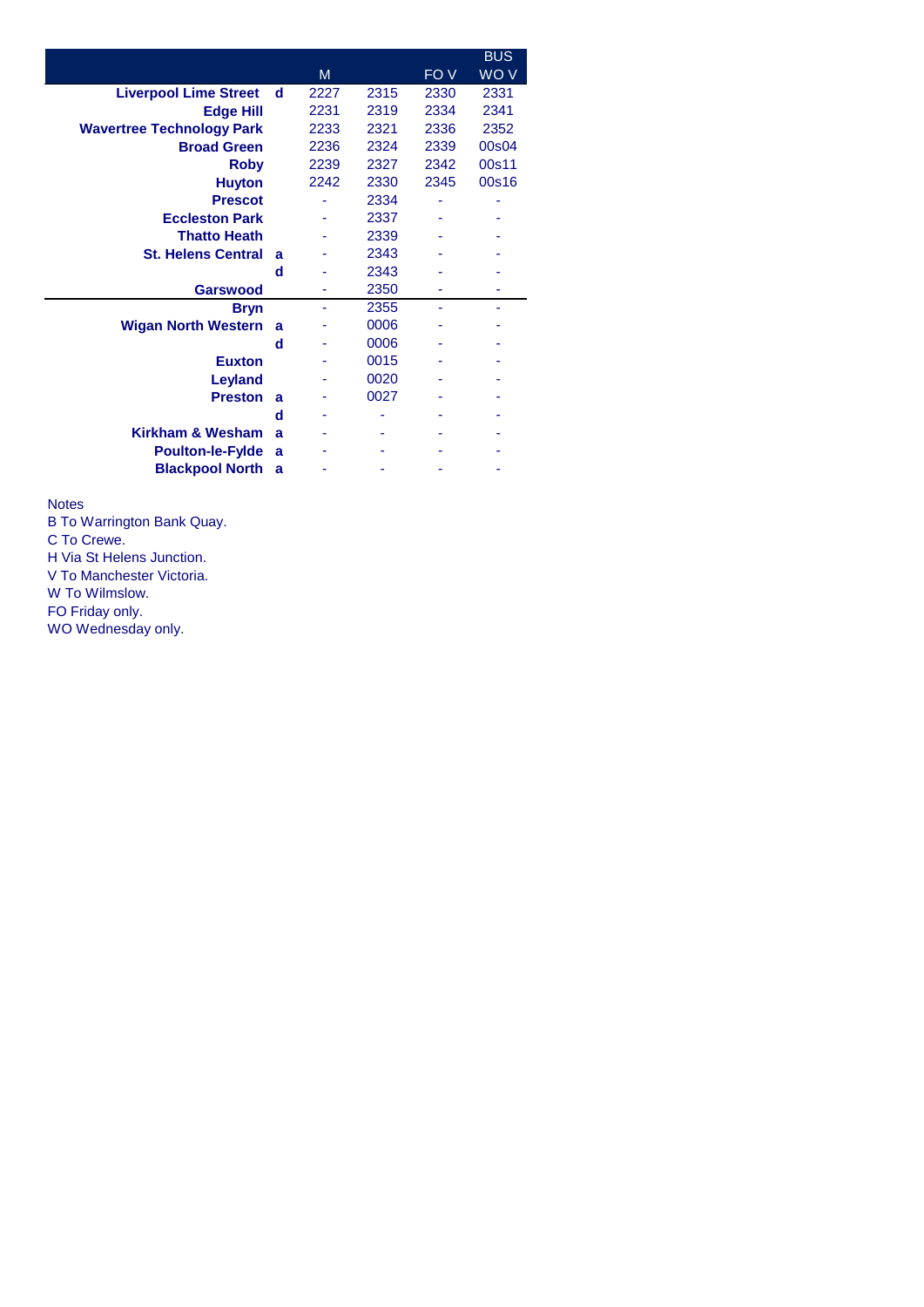|                                  |   |      |      |      | <b>BUS</b> |
|----------------------------------|---|------|------|------|------------|
|                                  |   | M    |      | FO V | WO V       |
| <b>Liverpool Lime Street</b>     | d | 2227 | 2315 | 2330 | 2331       |
| <b>Edge Hill</b>                 |   | 2231 | 2319 | 2334 | 2341       |
| <b>Wavertree Technology Park</b> |   | 2233 | 2321 | 2336 | 2352       |
| <b>Broad Green</b>               |   | 2236 | 2324 | 2339 | 00s04      |
| <b>Roby</b>                      |   | 2239 | 2327 | 2342 | 00s11      |
| <b>Huyton</b>                    |   | 2242 | 2330 | 2345 | 00s16      |
| <b>Prescot</b>                   |   |      | 2334 |      |            |
| <b>Eccleston Park</b>            |   |      | 2337 |      |            |
| <b>Thatto Heath</b>              |   |      | 2339 |      |            |
| <b>St. Helens Central</b>        | a |      | 2343 |      |            |
|                                  | d |      | 2343 |      |            |
| <b>Garswood</b>                  |   | ۰    | 2350 |      |            |
| <b>Bryn</b>                      |   | ۰    | 2355 |      |            |
| <b>Wigan North Western</b>       | a |      | 0006 |      |            |
|                                  | d |      | 0006 |      |            |
| <b>Euxton</b>                    |   |      | 0015 |      |            |
| Leyland                          |   |      | 0020 |      |            |
| <b>Preston</b>                   | a |      | 0027 |      |            |
|                                  | d |      |      |      |            |
| Kirkham & Wesham                 | a |      |      |      |            |
| <b>Poulton-le-Fylde</b>          | a |      |      |      |            |
| <b>Blackpool North</b>           | a |      |      |      |            |

Notes

B To Warrington Bank Quay.

C To Crewe.

H Via St Helens Junction.

V To Manchester Victoria.

W To Wilmslow.

FO Friday only.

WO Wednesday only.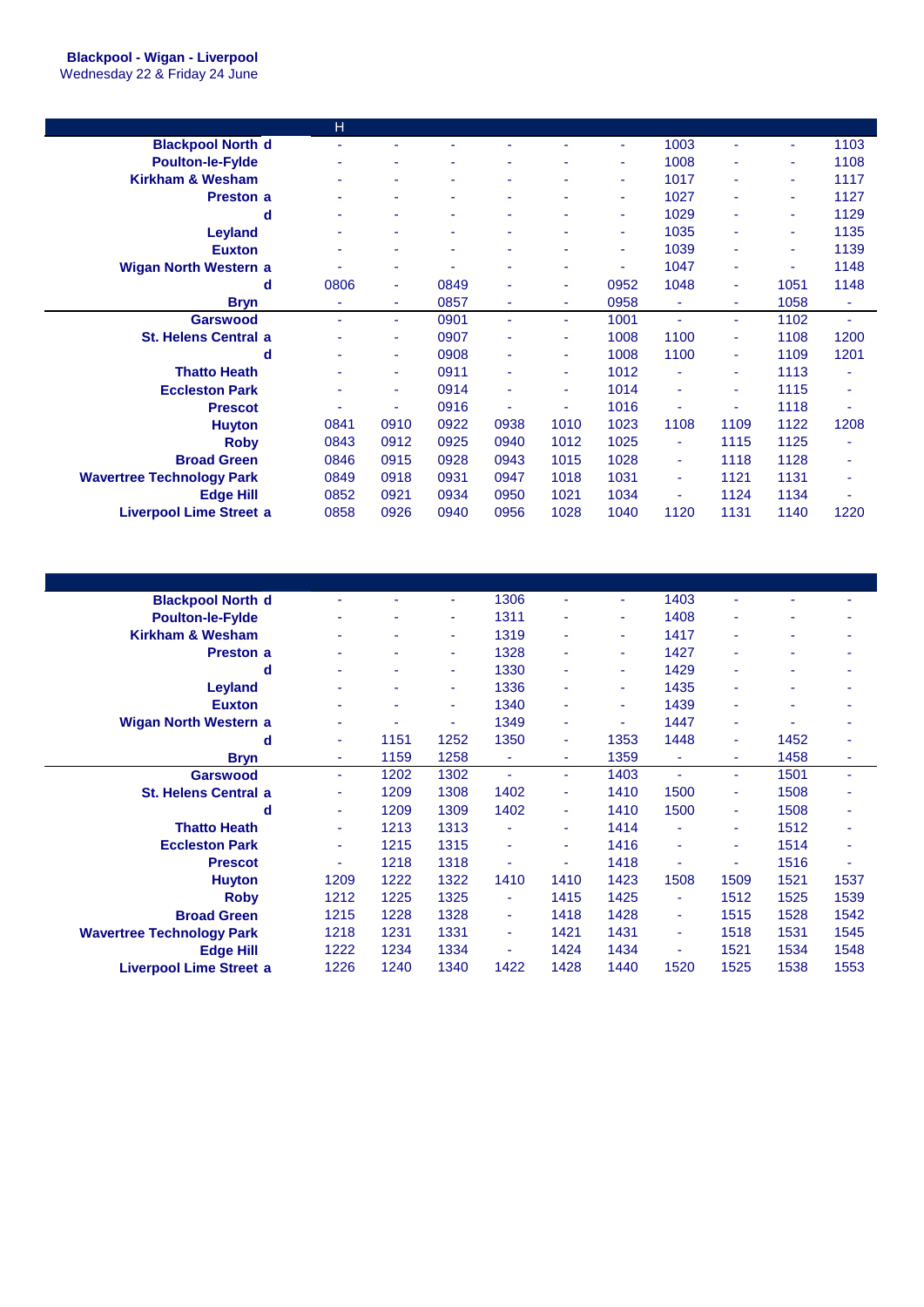|                                  | H    |                          |                          |      |      |      |      |      |      |      |
|----------------------------------|------|--------------------------|--------------------------|------|------|------|------|------|------|------|
| <b>Blackpool North d</b>         | ٠    |                          |                          |      |      | ÷    | 1003 | ٠    | ٠    | 1103 |
| <b>Poulton-le-Fylde</b>          | ٠    |                          | $\overline{\phantom{a}}$ | ٠    |      | ÷    | 1008 | ٠    | ٠    | 1108 |
| <b>Kirkham &amp; Wesham</b>      | ۰    |                          |                          |      |      | ÷    | 1017 | ۰    | ٠    | 1117 |
| <b>Preston a</b>                 | ۰    | $\overline{\phantom{a}}$ | $\overline{a}$           | ٠    |      | ÷    | 1027 | ٠    | ۰    | 1127 |
| d                                | ۰    |                          |                          |      |      | ۰    | 1029 | ۰    | ۰    | 1129 |
| <b>Leyland</b>                   | ٠    | ٠                        | ٠                        | ۰    | ٠    | ٠    | 1035 | ۰    | ٠    | 1135 |
| <b>Euxton</b>                    | ٠    | $\overline{\phantom{a}}$ | $\overline{\phantom{a}}$ | ۰    | ٠    | ٠    | 1039 | ۰    | ٠    | 1139 |
| <b>Wigan North Western a</b>     |      |                          |                          |      |      |      | 1047 | ۰    | ٠    | 1148 |
| d                                | 0806 | ٠                        | 0849                     | ٠    | ۰    | 0952 | 1048 | ۰    | 1051 | 1148 |
| <b>Bryn</b>                      | ٠    | ٠                        | 0857                     | ۰    | ۰    | 0958 | ٠    | ۰    | 1058 | ٠    |
| <b>Garswood</b>                  | ٠    | ٠                        | 0901                     | ٠    | ۰.   | 1001 | ٠    | ÷    | 1102 | ٠    |
| <b>St. Helens Central a</b>      | ۰    | ٠                        | 0907                     | ۰    | ٠    | 1008 | 1100 | ٠    | 1108 | 1200 |
| d                                | ۰    | ٠                        | 0908                     | ٠    | ٠    | 1008 | 1100 | ٠    | 1109 | 1201 |
| <b>Thatto Heath</b>              |      | ٠                        | 0911                     |      | ۰    | 1012 |      | ٠    | 1113 |      |
| <b>Eccleston Park</b>            | ۰    | ٠                        | 0914                     |      | ٠    | 1014 | ٠    | ٠    | 1115 | ٠    |
| <b>Prescot</b>                   |      | ٠                        | 0916                     |      | ٠    | 1016 | ٠    | ٠    | 1118 | ÷,   |
| <b>Huyton</b>                    | 0841 | 0910                     | 0922                     | 0938 | 1010 | 1023 | 1108 | 1109 | 1122 | 1208 |
| <b>Roby</b>                      | 0843 | 0912                     | 0925                     | 0940 | 1012 | 1025 |      | 1115 | 1125 |      |
| <b>Broad Green</b>               | 0846 | 0915                     | 0928                     | 0943 | 1015 | 1028 | ٠    | 1118 | 1128 |      |
| <b>Wavertree Technology Park</b> | 0849 | 0918                     | 0931                     | 0947 | 1018 | 1031 | ٠    | 1121 | 1131 | ٠    |
| <b>Edge Hill</b>                 | 0852 | 0921                     | 0934                     | 0950 | 1021 | 1034 | ٠    | 1124 | 1134 | ٠    |
| <b>Liverpool Lime Street a</b>   | 0858 | 0926                     | 0940                     | 0956 | 1028 | 1040 | 1120 | 1131 | 1140 | 1220 |

| <b>Blackpool North d</b>         | ۰    |      | ٠    | 1306 |      | ٠    | 1403 | ä,   |      |      |
|----------------------------------|------|------|------|------|------|------|------|------|------|------|
| <b>Poulton-le-Fylde</b>          | ۰    |      | ٠    | 1311 | ٠    | ٠    | 1408 | ٠    | ۳    |      |
| <b>Kirkham &amp; Wesham</b>      | ۰    |      | ٠    | 1319 | ٠    | ٠    | 1417 | ٠    | ۰    | ۰    |
| <b>Preston a</b>                 | ۰    |      | ٠    | 1328 |      | ۰    | 1427 | ٠    | ۰    | ۰    |
| d                                | ٠    |      | ٠    | 1330 |      | ٠    | 1429 | ٠    | ٠    |      |
| Leyland                          | ۰    |      | ۰    | 1336 | ٠    | ÷    | 1435 | ٠    | ٠    | ۰    |
| <b>Euxton</b>                    | ۰    |      | ٠    | 1340 | ٠    | ٠    | 1439 | ٠    | ۰    |      |
| <b>Wigan North Western a</b>     | ۰    |      | ۰    | 1349 | ٠    | ÷    | 1447 | ٠    |      |      |
| d                                | ٠    | 1151 | 1252 | 1350 | ٠    | 1353 | 1448 | ٠    | 1452 | ۰    |
| <b>Bryn</b>                      | ٠    | 1159 | 1258 | ٠    | ٠    | 1359 | ٠    | ٠    | 1458 | ٠    |
| <b>Garswood</b>                  | ٠    | 1202 | 1302 | ٠    | ÷    | 1403 | ä,   | ٠    | 1501 | ٠    |
| <b>St. Helens Central a</b>      | ٠    | 1209 | 1308 | 1402 | ÷    | 1410 | 1500 | ٠    | 1508 | ۰    |
| d                                | ۰    | 1209 | 1309 | 1402 | ÷.   | 1410 | 1500 | ٠    | 1508 | ٠    |
| <b>Thatto Heath</b>              | ۰    | 1213 | 1313 |      | ٠    | 1414 | ÷    | ۰    | 1512 | ۰    |
| <b>Eccleston Park</b>            | ٠    | 1215 | 1315 |      | ٠    | 1416 | ÷    | ٠    | 1514 | ۰    |
| <b>Prescot</b>                   | ٠    | 1218 | 1318 | ۰    | ٠    | 1418 | ٠    | ٠    | 1516 | ٠    |
| <b>Huyton</b>                    | 1209 | 1222 | 1322 | 1410 | 1410 | 1423 | 1508 | 1509 | 1521 | 1537 |
| <b>Roby</b>                      | 1212 | 1225 | 1325 | ٠    | 1415 | 1425 | ٠    | 1512 | 1525 | 1539 |
| <b>Broad Green</b>               | 1215 | 1228 | 1328 | ٠    | 1418 | 1428 | ٠    | 1515 | 1528 | 1542 |
| <b>Wavertree Technology Park</b> | 1218 | 1231 | 1331 | ٠    | 1421 | 1431 | ٠    | 1518 | 1531 | 1545 |
| <b>Edge Hill</b>                 | 1222 | 1234 | 1334 | ۰    | 1424 | 1434 | ۰    | 1521 | 1534 | 1548 |
| <b>Liverpool Lime Street a</b>   | 1226 | 1240 | 1340 | 1422 | 1428 | 1440 | 1520 | 1525 | 1538 | 1553 |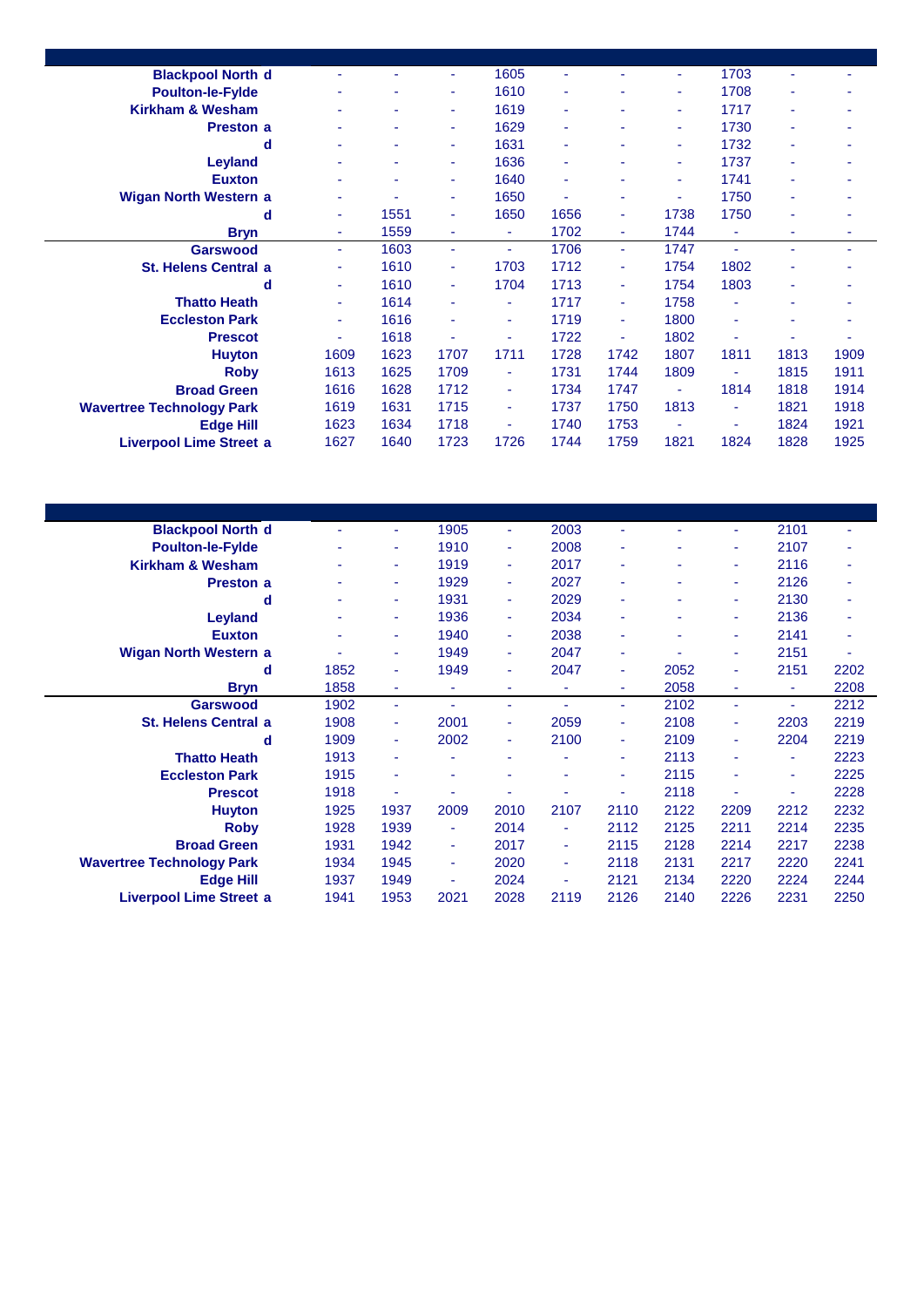| <b>Blackpool North d</b>         |      |      | ÷    | 1605 |      |      | ٠    | 1703 | ä,   |      |
|----------------------------------|------|------|------|------|------|------|------|------|------|------|
| <b>Poulton-le-Fylde</b>          | ٠    |      | ٠    | 1610 | ۰    | ۰    | ٠    | 1708 | ٠    | ٠    |
| <b>Kirkham &amp; Wesham</b>      |      |      | ٠    | 1619 | ٠    | ۰    | ٠    | 1717 | ۰    | ۰    |
| Preston a                        |      |      | ٠    | 1629 | ۰    |      | ٠    | 1730 | ۰    | ۰    |
| d                                | ٠    | ۰    | ٠    | 1631 | ٠    | ٠    | ٠    | 1732 | ٠    | ٠    |
| <b>Leyland</b>                   |      |      | ٠    | 1636 | ٠    |      | ٠    | 1737 | ٠    | ٠    |
| <b>Euxton</b>                    |      |      | ٠    | 1640 | ٠    |      | ۰    | 1741 | ۰    | ۰    |
| <b>Wigan North Western a</b>     |      |      | ÷    | 1650 | ٠    | ٠    | ٠    | 1750 | ٠    | ۰    |
| d                                | ٠    | 1551 | ٠    | 1650 | 1656 | ٠    | 1738 | 1750 | ٠    | ۰    |
| <b>Bryn</b>                      | ٠    | 1559 | ٠    | ٠    | 1702 | ٠    | 1744 | ٠    | ä,   | ۰    |
| <b>Garswood</b>                  | ÷    | 1603 | ÷.   | ÷.   | 1706 | ÷    | 1747 | ÷    | ä,   | ٠    |
| <b>St. Helens Central a</b>      | ٠    | 1610 | ٠    | 1703 | 1712 | ٠    | 1754 | 1802 | ۰    |      |
| d                                | ٠    | 1610 | ÷.   | 1704 | 1713 | ٠    | 1754 | 1803 | ۰    | ۰    |
| <b>Thatto Heath</b>              | ٠    | 1614 | ٠    | ٠    | 1717 | ÷    | 1758 | ٠    | ۰    | ٠    |
| <b>Eccleston Park</b>            | ٠    | 1616 |      | ٠    | 1719 | ٠    | 1800 | ٠    | ۰    | ۰    |
| <b>Prescot</b>                   | ۰    | 1618 |      | ٠    | 1722 | ä,   | 1802 |      |      | ۰    |
| <b>Huyton</b>                    | 1609 | 1623 | 1707 | 1711 | 1728 | 1742 | 1807 | 1811 | 1813 | 1909 |
| <b>Roby</b>                      | 1613 | 1625 | 1709 | ٠    | 1731 | 1744 | 1809 |      | 1815 | 1911 |
| <b>Broad Green</b>               | 1616 | 1628 | 1712 | ٠    | 1734 | 1747 | ä,   | 1814 | 1818 | 1914 |
| <b>Wavertree Technology Park</b> | 1619 | 1631 | 1715 | ٠    | 1737 | 1750 | 1813 | ٠    | 1821 | 1918 |
| <b>Edge Hill</b>                 | 1623 | 1634 | 1718 | ٠    | 1740 | 1753 | ä,   | ٠    | 1824 | 1921 |
| <b>Liverpool Lime Street a</b>   | 1627 | 1640 | 1723 | 1726 | 1744 | 1759 | 1821 | 1824 | 1828 | 1925 |

| <b>Blackpool North d</b>         | ۰    | ٠              | 1905                     | ٠    | 2003 | ÷    | ٠    | ٠    | 2101 | ۰    |
|----------------------------------|------|----------------|--------------------------|------|------|------|------|------|------|------|
| <b>Poulton-le-Fylde</b>          | ۰    | ٠              | 1910                     | ۰    | 2008 |      |      | ۰    | 2107 |      |
| <b>Kirkham &amp; Wesham</b>      | ۰    | ٠              | 1919                     | ۰    | 2017 |      | ۰    | ۰    | 2116 | ÷    |
| <b>Preston a</b>                 | ٠    | ٠              | 1929                     | ۰    | 2027 |      | ۰    | ٠    | 2126 | ٠    |
| d                                | ٠    | ٠              | 1931                     | ٠    | 2029 | ٠    | ٠    | ٠    | 2130 | ÷,   |
| Leyland                          | ۰    | ٠              | 1936                     | ٠    | 2034 |      | ۰    | ۰    | 2136 | ٠    |
| <b>Euxton</b>                    | ۰    | ٠              | 1940                     | ٠    | 2038 |      | ٠    | ۰    | 2141 | ÷,   |
| <b>Wigan North Western a</b>     | ٠    | ٠              | 1949                     | ٠    | 2047 | ٠    | ٠    | ٠    | 2151 | ٠    |
| d                                | 1852 | ÷              | 1949                     | ۰    | 2047 | ٠    | 2052 | ٠    | 2151 | 2202 |
| <b>Bryn</b>                      | 1858 | ٠              | ٠                        | ۰    |      | ٠    | 2058 | ٠    | ٠    | 2208 |
| <b>Garswood</b>                  | 1902 | ٠              | $\overline{\phantom{a}}$ | ۰    |      | ÷    | 2102 | ٠    | ٠    | 2212 |
| <b>St. Helens Central a</b>      | 1908 | ٠              | 2001                     | ٠    | 2059 | ÷    | 2108 | ٠    | 2203 | 2219 |
| d                                | 1909 | $\blacksquare$ | 2002                     | ٠    | 2100 | ٠    | 2109 | ٠    | 2204 | 2219 |
| <b>Thatto Heath</b>              | 1913 | ٠              |                          | ٠    |      | ٠    | 2113 | ۰    | ٠    | 2223 |
| <b>Eccleston Park</b>            | 1915 | ٠              |                          |      |      | ۰    | 2115 |      | ۰    | 2225 |
| <b>Prescot</b>                   | 1918 |                | $\overline{\phantom{a}}$ |      |      |      | 2118 |      | ٠    | 2228 |
| <b>Huyton</b>                    | 1925 | 1937           | 2009                     | 2010 | 2107 | 2110 | 2122 | 2209 | 2212 | 2232 |
| <b>Roby</b>                      | 1928 | 1939           | ٠                        | 2014 |      | 2112 | 2125 | 2211 | 2214 | 2235 |
| <b>Broad Green</b>               | 1931 | 1942           | ٠                        | 2017 | ٠    | 2115 | 2128 | 2214 | 2217 | 2238 |
| <b>Wavertree Technology Park</b> | 1934 | 1945           | $\sim$                   | 2020 | ÷    | 2118 | 2131 | 2217 | 2220 | 2241 |
| <b>Edge Hill</b>                 | 1937 | 1949           | ٠                        | 2024 | ٠    | 2121 | 2134 | 2220 | 2224 | 2244 |
| <b>Liverpool Lime Street a</b>   | 1941 | 1953           | 2021                     | 2028 | 2119 | 2126 | 2140 | 2226 | 2231 | 2250 |